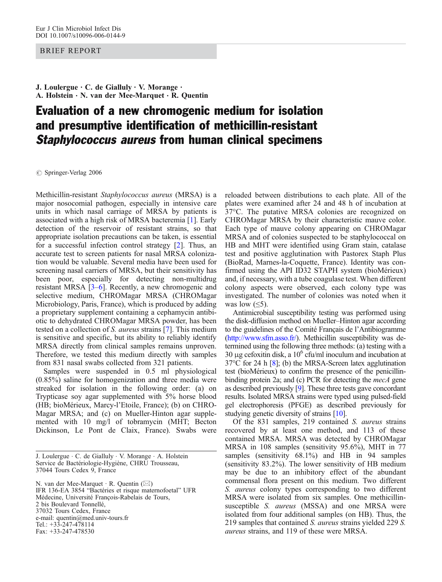## BRIEF REPORT

J. Loulergue  $\cdot$  C. de Gialluly  $\cdot$  V. Morange  $\cdot$ A. Holstein . N. van der Mee-Marquet . R. Quentin

## Evaluation of a new chromogenic medium for isolation and presumptive identification of methicillin-resistant Staphylococcus aureus from human clinical specimens

*#* Springer-Verlag 2006

Methicillin-resistant Staphylococcus aureus (MRSA) is a major nosocomial pathogen, especially in intensive care units in which nasal carriage of MRSA by patients is associated with a high risk of MRSA bacteremia [[1\]](#page-2-0). Early detection of the reservoir of resistant strains, so that appropriate isolation precautions can be taken, is essential for a successful infection control strategy [[2](#page-2-0)]. Thus, an accurate test to screen patients for nasal MRSA colonization would be valuable. Several media have been used for screening nasal carriers of MRSA, but their sensitivity has been poor, especially for detecting non-multidrug resistant MRSA [[3](#page-2-0)–[6](#page-2-0)]. Recently, a new chromogenic and selective medium, CHROMagar MRSA (CHROMagar Microbiology, Paris, France), which is produced by adding a proprietary supplement containing a cephamycin antibiotic to dehydrated CHROMagar MRSA powder, has been tested on a collection of S. aureus strains [\[7](#page-2-0)]. This medium is sensitive and specific, but its ability to reliably identify MRSA directly from clinical samples remains unproven. Therefore, we tested this medium directly with samples from 831 nasal swabs collected from 321 patients.

Samples were suspended in 0.5 ml physiological (0.85%) saline for homogenization and three media were streaked for isolation in the following order: (a) on Trypticase soy agar supplemented with 5% horse blood (HB; bioMérieux, Marcy-l'Etoile, France); (b) on CHRO-Magar MRSA; and (c) on Mueller-Hinton agar supplemented with 10 mg/l of tobramycin (MHT; Becton Dickinson, Le Pont de Claix, France). Swabs were

N. van der Mee-Marquet . R. Quentin (*\**) IFR 136-EA 3854 "Bactéries et risque maternofoetal" UFR Médecine, Université François-Rabelais de Tours, 2 bis Boulevard Tonnellé, 37032 Tours Cedex, France e-mail: quentin@med.univ-tours.fr Tel.: +33-247-478114 Fax: +33-247-478530

reloaded between distributions to each plate. All of the plates were examined after 24 and 48 h of incubation at 37°C. The putative MRSA colonies are recognized on CHROMagar MRSA by their characteristic mauve color. Each type of mauve colony appearing on CHROMagar MRSA and of colonies suspected to be staphylococcal on HB and MHT were identified using Gram stain, catalase test and positive agglutination with Pastorex Staph Plus (BioRad, Marnes-la-Coquette, France). Identity was confirmed using the API ID32 STAPH system (bioMérieux) and, if necessary, with a tube coagulase test. When different colony aspects were observed, each colony type was investigated. The number of colonies was noted when it was low  $(\leq 5)$ .

Antimicrobial susceptibility testing was performed using the disk-diffusion method on Mueller–Hinton agar according to the guidelines of the Comité Français de l'Antibiogramme [\(http://www.sfm.asso.fr/](http://www.sfm.asso.fr/)). Methicillin susceptibility was determined using the following three methods: (a) testing with a 30 μg cefoxitin disk, a  $10^6$  cfu/ml inoculum and incubation at 37°C for 24 h [[8\]](#page-2-0); (b) the MRSA-Screen latex agglutination test (bioMérieux) to confirm the presence of the penicillinbinding protein 2a; and (c) PCR for detecting the *mecA* gene as described previously [\[9](#page-2-0)]. These three tests gave concordant results. Isolated MRSA strains were typed using pulsed-field gel electrophoresis (PFGE) as described previously for studying genetic diversity of strains [\[10](#page-2-0)].

Of the 831 samples, 219 contained S. aureus strains recovered by at least one method, and 113 of these contained MRSA. MRSA was detected by CHROMagar MRSA in 108 samples (sensitivity 95.6%), MHT in 77 samples (sensitivity 68.1%) and HB in 94 samples (sensitivity 83.2%). The lower sensitivity of HB medium may be due to an inhibitory effect of the abundant commensal flora present on this medium. Two different S. aureus colony types corresponding to two different MRSA were isolated from six samples. One methicillinsusceptible *S. aureus* (MSSA) and one MRSA were isolated from four additional samples (on HB). Thus, the 219 samples that contained S. aureus strains yielded 229 S. aureus strains, and 119 of these were MRSA.

J. Loulergue . C. de Gialluly . V. Morange . A. Holstein Service de Bactériologie-Hygiène, CHRU Trousseau, 37044 Tours Cedex 9, France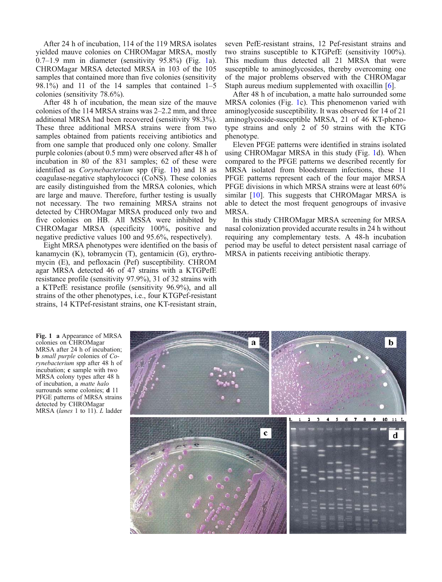After 24 h of incubation, 114 of the 119 MRSA isolates yielded mauve colonies on CHROMagar MRSA, mostly 0.7–1.9 mm in diameter (sensitivity 95.8%) (Fig. 1a). CHROMagar MRSA detected MRSA in 103 of the 105 samples that contained more than five colonies (sensitivity 98.1%) and 11 of the 14 samples that contained 1–5 colonies (sensitivity 78.6%).

After 48 h of incubation, the mean size of the mauve colonies of the 114 MRSA strains was 2–2.2 mm, and three additional MRSA had been recovered (sensitivity 98.3%). These three additional MRSA strains were from two samples obtained from patients receiving antibiotics and from one sample that produced only one colony. Smaller purple colonies (about 0.5 mm) were observed after 48 h of incubation in 80 of the 831 samples; 62 of these were identified as Corynebacterium spp (Fig. 1b) and 18 as coagulase-negative staphylococci (CoNS). These colonies are easily distinguished from the MRSA colonies, which are large and mauve. Therefore, further testing is usually not necessary. The two remaining MRSA strains not detected by CHROMagar MRSA produced only two and five colonies on HB. All MSSA were inhibited by CHROMagar MRSA (specificity 100%, positive and negative predictive values 100 and 95.6%, respectively).

Eight MRSA phenotypes were identified on the basis of kanamycin (K), tobramycin (T), gentamicin (G), erythromycin (E), and pefloxacin (Pef) susceptibility. CHROM agar MRSA detected 46 of 47 strains with a KTGPefE resistance profile (sensitivity 97.9%), 31 of 32 strains with a KTPefE resistance profile (sensitivity 96.9%), and all strains of the other phenotypes, i.e., four KTGPef-resistant strains, 14 KTPef-resistant strains, one KT-resistant strain,

seven PefE-resistant strains, 12 Pef-resistant strains and two strains susceptible to KTGPefE (sensitivity 100%). This medium thus detected all 21 MRSA that were susceptible to aminoglycosides, thereby overcoming one of the major problems observed with the CHROMagar Staph aureus medium supplemented with oxacillin [\[6\]](#page-2-0).

After 48 h of incubation, a matte halo surrounded some MRSA colonies (Fig. 1c). This phenomenon varied with aminoglycoside susceptibility. It was observed for 14 of 21 aminoglycoside-susceptible MRSA, 21 of 46 KT-phenotype strains and only 2 of 50 strains with the KTG phenotype.

Eleven PFGE patterns were identified in strains isolated using CHROMagar MRSA in this study (Fig. 1d). When compared to the PFGE patterns we described recently for MRSA isolated from bloodstream infections, these 11 PFGE patterns represent each of the four major MRSA PFGE divisions in which MRSA strains were at least 60% similar [\[10\]](#page-2-0). This suggests that CHROMagar MRSA is able to detect the most frequent genogroups of invasive MRSA.

In this study CHROMagar MRSA screening for MRSA nasal colonization provided accurate results in 24 h without requiring any complementary tests. A 48-h incubation period may be useful to detect persistent nasal carriage of MRSA in patients receiving antibiotic therapy.

Fig. 1 a Appearance of MRSA colonies on CHROMagar MRSA after 24 h of incubation; b small purple colonies of Corynebacterium spp after 48 h of incubation; c sample with two MRSA colony types after 48 h of incubation, a matte halo surrounds some colonies; **d** 11 PFGE patterns of MRSA strains detected by CHROMagar MRSA (lanes 1 to 11). L ladder